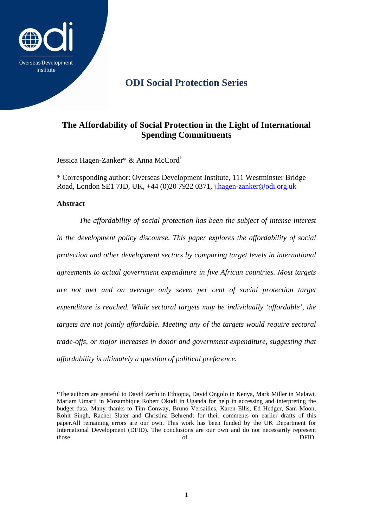

# **ODI Social Protection Series**

## **The Affordability of Social Protection in the Light of International Spending Commitments**

Jessica Hagen-Zanker\* & Anna McCord<sup>1</sup>

\* Corresponding author: Overseas Development Institute, 111 Westminster Bridge Road, London SE1 7JD, UK, +44 (0)20 7922 0371, j.hagen-zanker@odi.org.uk

### **Abstract**

*The affordability of social protection has been the subject of intense interest in the development policy discourse. This paper explores the affordability of social protection and other development sectors by comparing target levels in international agreements to actual government expenditure in five African countries. Most targets are not met and on average only seven per cent of social protection target expenditure is reached. While sectoral targets may be individually 'affordable', the targets are not jointly affordable. Meeting any of the targets would require sectoral trade-offs, or major increases in donor and government expenditure, suggesting that affordability is ultimately a question of political preference.* 

**<sup>1</sup>**The authors are grateful to David Zerfu in Ethiopia, David Ongolo in Kenya, Mark Miller in Malawi, Mariam Umarji in Mozambique Robert Okudi in Uganda for help in accessing and interpreting the budget data. Many thanks to Tim Conway, Bruno Versailles, Karen Ellis, Ed Hedger, Sam Moon, Rohit Singh, Rachel Slater and Christina Behrendt for their comments on earlier drafts of this paper.All remaining errors are our own. This work has been funded by the UK Department for International Development (DFID). The conclusions are our own and do not necessarily represent those of DFID.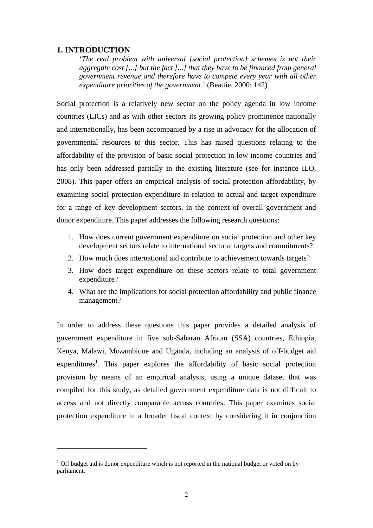### **1. INTRODUCTION**

**.** 

'*The real problem with universal [social protection] schemes is not their aggregate cost [...] but the fact [...] that they have to be financed from general government revenue and therefore have to compete every year with all other expenditure priorities of the government*.' (Beattie, 2000: 142)

Social protection is a relatively new sector on the policy agenda in low income countries (LICs) and as with other sectors its growing policy prominence nationally and internationally, has been accompanied by a rise in advocacy for the allocation of governmental resources to this sector. This has raised questions relating to the affordability of the provision of basic social protection in low income countries and has only been addressed partially in the existing literature (see for instance ILO, 2008). This paper offers an empirical analysis of social protection affordability, by examining social protection expenditure in relation to actual and target expenditure for a range of key development sectors, in the context of overall government and donor expenditure. This paper addresses the following research questions:

- 1. How does current government expenditure on social protection and other key development sectors relate to international sectoral targets and commitments?
- 2. How much does international aid contribute to achievement towards targets?
- 3. How does target expenditure on these sectors relate to total government expenditure?
- 4. What are the implications for social protection affordability and public finance management?

In order to address these questions this paper provides a detailed analysis of government expenditure in five sub-Saharan African (SSA) countries, Ethiopia, Kenya, Malawi, Mozambique and Uganda, including an analysis of off-budget aid expenditures<sup>1</sup>. This paper explores the affordability of basic social protection provision by means of an empirical analysis, using a unique dataset that was compiled for this study, as detailed government expenditure data is not difficult to access and not directly comparable across countries. This paper examines social protection expenditure in a broader fiscal context by considering it in conjunction

 $<sup>1</sup>$  Off budget aid is donor expenditure which is not reported in the national budget or voted on by</sup> parliament.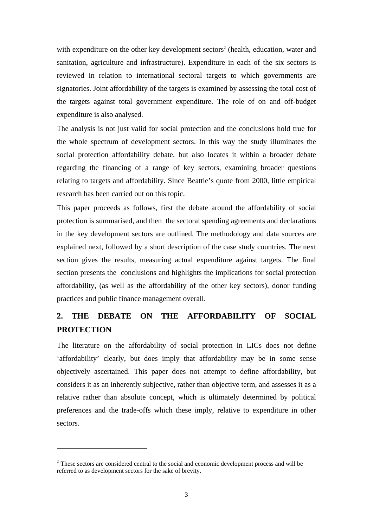with expenditure on the other key development sectors<sup>2</sup> (health, education, water and sanitation, agriculture and infrastructure). Expenditure in each of the six sectors is reviewed in relation to international sectoral targets to which governments are signatories. Joint affordability of the targets is examined by assessing the total cost of the targets against total government expenditure. The role of on and off-budget expenditure is also analysed.

The analysis is not just valid for social protection and the conclusions hold true for the whole spectrum of development sectors. In this way the study illuminates the social protection affordability debate, but also locates it within a broader debate regarding the financing of a range of key sectors, examining broader questions relating to targets and affordability. Since Beattie's quote from 2000, little empirical research has been carried out on this topic.

This paper proceeds as follows, first the debate around the affordability of social protection is summarised, and then the sectoral spending agreements and declarations in the key development sectors are outlined. The methodology and data sources are explained next, followed by a short description of the case study countries. The next section gives the results, measuring actual expenditure against targets. The final section presents the conclusions and highlights the implications for social protection affordability, (as well as the affordability of the other key sectors), donor funding practices and public finance management overall.

## **2. THE DEBATE ON THE AFFORDABILITY OF SOCIAL PROTECTION**

The literature on the affordability of social protection in LICs does not define 'affordability' clearly, but does imply that affordability may be in some sense objectively ascertained. This paper does not attempt to define affordability, but considers it as an inherently subjective, rather than objective term, and assesses it as a relative rather than absolute concept, which is ultimately determined by political preferences and the trade-offs which these imply, relative to expenditure in other sectors.

**.** 

<sup>&</sup>lt;sup>2</sup> These sectors are considered central to the social and economic development process and will be referred to as development sectors for the sake of brevity.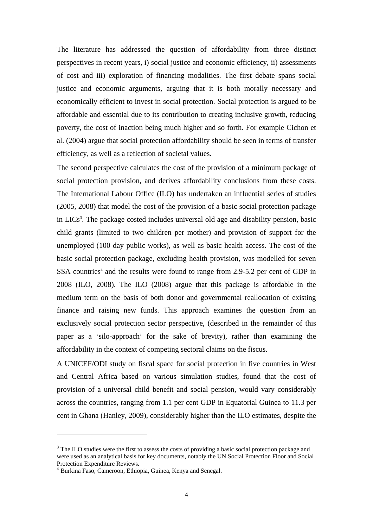The literature has addressed the question of affordability from three distinct perspectives in recent years, i) social justice and economic efficiency, ii) assessments of cost and iii) exploration of financing modalities. The first debate spans social justice and economic arguments, arguing that it is both morally necessary and economically efficient to invest in social protection. Social protection is argued to be affordable and essential due to its contribution to creating inclusive growth, reducing poverty, the cost of inaction being much higher and so forth. For example Cichon et al. (2004) argue that social protection affordability should be seen in terms of transfer efficiency, as well as a reflection of societal values.

The second perspective calculates the cost of the provision of a minimum package of social protection provision, and derives affordability conclusions from these costs. The International Labour Office (ILO) has undertaken an influential series of studies (2005, 2008) that model the cost of the provision of a basic social protection package in LICs<sup>3</sup>. The package costed includes universal old age and disability pension, basic child grants (limited to two children per mother) and provision of support for the unemployed (100 day public works), as well as basic health access. The cost of the basic social protection package, excluding health provision, was modelled for seven SSA countries<sup>4</sup> and the results were found to range from 2.9-5.2 per cent of GDP in 2008 (ILO, 2008). The ILO (2008) argue that this package is affordable in the medium term on the basis of both donor and governmental reallocation of existing finance and raising new funds. This approach examines the question from an exclusively social protection sector perspective, (described in the remainder of this paper as a 'silo-approach' for the sake of brevity), rather than examining the affordability in the context of competing sectoral claims on the fiscus.

A UNICEF/ODI study on fiscal space for social protection in five countries in West and Central Africa based on various simulation studies, found that the cost of provision of a universal child benefit and social pension, would vary considerably across the countries, ranging from 1.1 per cent GDP in Equatorial Guinea to 11.3 per cent in Ghana (Hanley, 2009), considerably higher than the ILO estimates, despite the

**.** 

<sup>&</sup>lt;sup>3</sup> The ILO studies were the first to assess the costs of providing a basic social protection package and were used as an analytical basis for key documents, notably the UN Social Protection Floor and Social Protection Expenditure Reviews.

<sup>4</sup> Burkina Faso, Cameroon, Ethiopia, Guinea, Kenya and Senegal.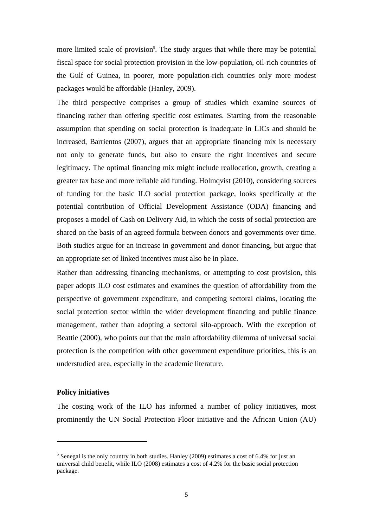more limited scale of provision<sup>5</sup>. The study argues that while there may be potential fiscal space for social protection provision in the low-population, oil-rich countries of the Gulf of Guinea, in poorer, more population-rich countries only more modest packages would be affordable (Hanley, 2009).

The third perspective comprises a group of studies which examine sources of financing rather than offering specific cost estimates. Starting from the reasonable assumption that spending on social protection is inadequate in LICs and should be increased, Barrientos (2007), argues that an appropriate financing mix is necessary not only to generate funds, but also to ensure the right incentives and secure legitimacy. The optimal financing mix might include reallocation, growth, creating a greater tax base and more reliable aid funding. Holmqvist (2010), considering sources of funding for the basic ILO social protection package, looks specifically at the potential contribution of Official Development Assistance (ODA) financing and proposes a model of Cash on Delivery Aid, in which the costs of social protection are shared on the basis of an agreed formula between donors and governments over time. Both studies argue for an increase in government and donor financing, but argue that an appropriate set of linked incentives must also be in place.

Rather than addressing financing mechanisms, or attempting to cost provision, this paper adopts ILO cost estimates and examines the question of affordability from the perspective of government expenditure, and competing sectoral claims, locating the social protection sector within the wider development financing and public finance management, rather than adopting a sectoral silo-approach. With the exception of Beattie (2000), who points out that the main affordability dilemma of universal social protection is the competition with other government expenditure priorities, this is an understudied area, especially in the academic literature.

#### **Policy initiatives**

 $\overline{a}$ 

The costing work of the ILO has informed a number of policy initiatives, most prominently the UN Social Protection Floor initiative and the African Union (AU)

<sup>&</sup>lt;sup>5</sup> Senegal is the only country in both studies. Hanley (2009) estimates a cost of 6.4% for just an universal child benefit, while ILO (2008) estimates a cost of 4.2% for the basic social protection package.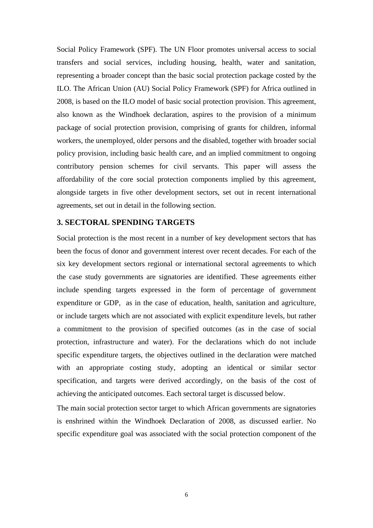Social Policy Framework (SPF). The UN Floor promotes universal access to social transfers and social services, including housing, health, water and sanitation, representing a broader concept than the basic social protection package costed by the ILO. The African Union (AU) Social Policy Framework (SPF) for Africa outlined in 2008, is based on the ILO model of basic social protection provision. This agreement, also known as the Windhoek declaration, aspires to the provision of a minimum package of social protection provision, comprising of grants for children, informal workers, the unemployed, older persons and the disabled, together with broader social policy provision, including basic health care, and an implied commitment to ongoing contributory pension schemes for civil servants. This paper will assess the affordability of the core social protection components implied by this agreement, alongside targets in five other development sectors, set out in recent international agreements, set out in detail in the following section.

#### **3. SECTORAL SPENDING TARGETS**

Social protection is the most recent in a number of key development sectors that has been the focus of donor and government interest over recent decades. For each of the six key development sectors regional or international sectoral agreements to which the case study governments are signatories are identified. These agreements either include spending targets expressed in the form of percentage of government expenditure or GDP, as in the case of education, health, sanitation and agriculture, or include targets which are not associated with explicit expenditure levels, but rather a commitment to the provision of specified outcomes (as in the case of social protection, infrastructure and water). For the declarations which do not include specific expenditure targets, the objectives outlined in the declaration were matched with an appropriate costing study, adopting an identical or similar sector specification, and targets were derived accordingly, on the basis of the cost of achieving the anticipated outcomes. Each sectoral target is discussed below.

The main social protection sector target to which African governments are signatories is enshrined within the Windhoek Declaration of 2008, as discussed earlier. No specific expenditure goal was associated with the social protection component of the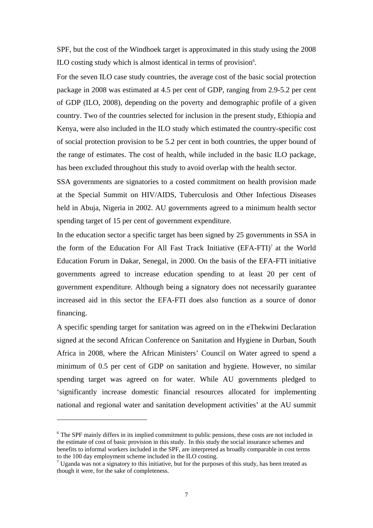SPF, but the cost of the Windhoek target is approximated in this study using the 2008 ILO costing study which is almost identical in terms of provision<sup>6</sup>.

For the seven ILO case study countries, the average cost of the basic social protection package in 2008 was estimated at 4.5 per cent of GDP, ranging from 2.9-5.2 per cent of GDP (ILO, 2008), depending on the poverty and demographic profile of a given country. Two of the countries selected for inclusion in the present study, Ethiopia and Kenya, were also included in the ILO study which estimated the country-specific cost of social protection provision to be 5.2 per cent in both countries, the upper bound of the range of estimates. The cost of health, while included in the basic ILO package, has been excluded throughout this study to avoid overlap with the health sector.

SSA governments are signatories to a costed commitment on health provision made at the Special Summit on HIV/AIDS, Tuberculosis and Other Infectious Diseases held in Abuja, Nigeria in 2002. AU governments agreed to a minimum health sector spending target of 15 per cent of government expenditure.

In the education sector a specific target has been signed by 25 governments in SSA in the form of the Education For All Fast Track Initiative (EFA-FTI)7 at the World Education Forum in Dakar, Senegal, in 2000. On the basis of the EFA-FTI initiative governments agreed to increase education spending to at least 20 per cent of government expenditure. Although being a signatory does not necessarily guarantee increased aid in this sector the EFA-FTI does also function as a source of donor financing.

A specific spending target for sanitation was agreed on in the eThekwini Declaration signed at the second African Conference on Sanitation and Hygiene in Durban, South Africa in 2008, where the African Ministers' Council on Water agreed to spend a minimum of 0.5 per cent of GDP on sanitation and hygiene. However, no similar spending target was agreed on for water. While AU governments pledged to 'significantly increase domestic financial resources allocated for implementing national and regional water and sanitation development activities' at the AU summit

1

<sup>&</sup>lt;sup>6</sup> The SPF mainly differs in its implied commitment to public pensions, these costs are not included in the estimate of cost of basic provision in this study. In this study the social insurance schemes and benefits to informal workers included in the SPF, are interpreted as broadly comparable in cost terms to the 100 day employment scheme included in the ILO costing.

 $<sup>7</sup>$  Uganda was not a signatory to this initiative, but for the purposes of this study, has been treated as</sup> though it were, for the sake of completeness.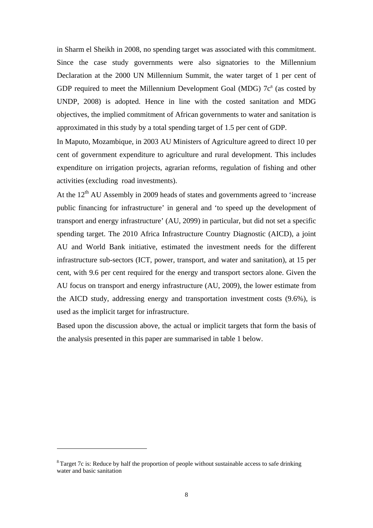in Sharm el Sheikh in 2008, no spending target was associated with this commitment. Since the case study governments were also signatories to the Millennium Declaration at the 2000 UN Millennium Summit, the water target of 1 per cent of GDP required to meet the Millennium Development Goal (MDG)  $7c<sup>8</sup>$  (as costed by UNDP, 2008) is adopted. Hence in line with the costed sanitation and MDG objectives, the implied commitment of African governments to water and sanitation is approximated in this study by a total spending target of 1.5 per cent of GDP.

In Maputo, Mozambique, in 2003 AU Ministers of Agriculture agreed to direct 10 per cent of government expenditure to agriculture and rural development. This includes expenditure on irrigation projects, agrarian reforms, regulation of fishing and other activities (excluding road investments).

At the  $12<sup>th</sup>$  AU Assembly in 2009 heads of states and governments agreed to 'increase public financing for infrastructure' in general and 'to speed up the development of transport and energy infrastructure' (AU, 2099) in particular, but did not set a specific spending target. The 2010 Africa Infrastructure Country Diagnostic (AICD), a joint AU and World Bank initiative, estimated the investment needs for the different infrastructure sub-sectors (ICT, power, transport, and water and sanitation), at 15 per cent, with 9.6 per cent required for the energy and transport sectors alone. Given the AU focus on transport and energy infrastructure (AU, 2009), the lower estimate from the AICD study, addressing energy and transportation investment costs (9.6%), is used as the implicit target for infrastructure.

Based upon the discussion above, the actual or implicit targets that form the basis of the analysis presented in this paper are summarised in table 1 below.

**.** 

 $8$ Target 7c is: Reduce by half the proportion of people without sustainable access to safe drinking water and basic sanitation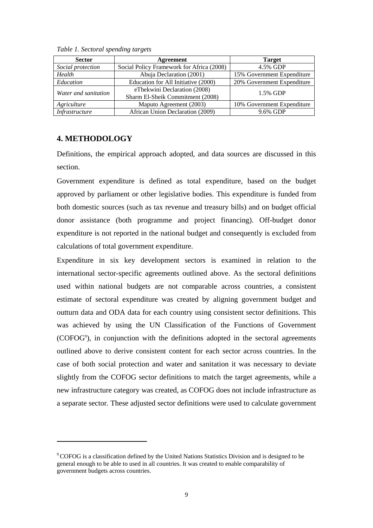| <b>Sector</b>        | Agreement                                                        | <b>Target</b>              |  |
|----------------------|------------------------------------------------------------------|----------------------------|--|
| Social protection    | Social Policy Framework for Africa (2008)                        | 4.5% GDP                   |  |
| Health               | Abuja Declaration (2001)<br>15% Government Expenditure           |                            |  |
| Education            | Education for All Initiative (2000)                              | 20% Government Expenditure |  |
| Water and sanitation | eThekwini Declaration (2008)<br>Sharm El-Sheik Commitment (2008) | 1.5% GDP                   |  |
| Agriculture          | Maputo Agreement (2003)                                          | 10% Government Expenditure |  |
| Infrastructure       | African Union Declaration (2009)                                 | 9.6% GDP                   |  |

*Table 1. Sectoral spending targets* 

### **4. METHODOLOGY**

 $\overline{a}$ 

Definitions, the empirical approach adopted, and data sources are discussed in this section.

Government expenditure is defined as total expenditure, based on the budget approved by parliament or other legislative bodies. This expenditure is funded from both domestic sources (such as tax revenue and treasury bills) and on budget official donor assistance (both programme and project financing). Off-budget donor expenditure is not reported in the national budget and consequently is excluded from calculations of total government expenditure.

Expenditure in six key development sectors is examined in relation to the international sector-specific agreements outlined above. As the sectoral definitions used within national budgets are not comparable across countries, a consistent estimate of sectoral expenditure was created by aligning government budget and outturn data and ODA data for each country using consistent sector definitions. This was achieved by using the UN Classification of the Functions of Government (COFOG9 ), in conjunction with the definitions adopted in the sectoral agreements outlined above to derive consistent content for each sector across countries. In the case of both social protection and water and sanitation it was necessary to deviate slightly from the COFOG sector definitions to match the target agreements, while a new infrastructure category was created, as COFOG does not include infrastructure as a separate sector. These adjusted sector definitions were used to calculate government

<sup>&</sup>lt;sup>9</sup> COFOG is a classification defined by the United Nations Statistics Division and is designed to be general enough to be able to used in all countries. It was created to enable comparability of government budgets across countries.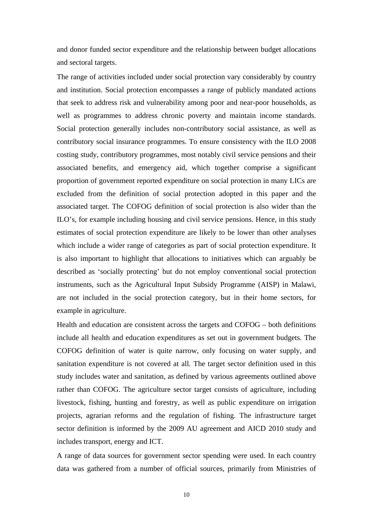and donor funded sector expenditure and the relationship between budget allocations and sectoral targets.

The range of activities included under social protection vary considerably by country and institution. Social protection encompasses a range of publicly mandated actions that seek to address risk and vulnerability among poor and near-poor households, as well as programmes to address chronic poverty and maintain income standards. Social protection generally includes non-contributory social assistance, as well as contributory social insurance programmes. To ensure consistency with the ILO 2008 costing study, contributory programmes, most notably civil service pensions and their associated benefits, and emergency aid, which together comprise a significant proportion of government reported expenditure on social protection in many LICs are excluded from the definition of social protection adopted in this paper and the associated target. The COFOG definition of social protection is also wider than the ILO's, for example including housing and civil service pensions. Hence, in this study estimates of social protection expenditure are likely to be lower than other analyses which include a wider range of categories as part of social protection expenditure. It is also important to highlight that allocations to initiatives which can arguably be described as 'socially protecting' but do not employ conventional social protection instruments, such as the Agricultural Input Subsidy Programme (AISP) in Malawi, are not included in the social protection category, but in their home sectors, for example in agriculture.

Health and education are consistent across the targets and COFOG – both definitions include all health and education expenditures as set out in government budgets. The COFOG definition of water is quite narrow, only focusing on water supply, and sanitation expenditure is not covered at all. The target sector definition used in this study includes water and sanitation, as defined by various agreements outlined above rather than COFOG. The agriculture sector target consists of agriculture, including livestock, fishing, hunting and forestry, as well as public expenditure on irrigation projects, agrarian reforms and the regulation of fishing. The infrastructure target sector definition is informed by the 2009 AU agreement and AICD 2010 study and includes transport, energy and ICT.

A range of data sources for government sector spending were used. In each country data was gathered from a number of official sources, primarily from Ministries of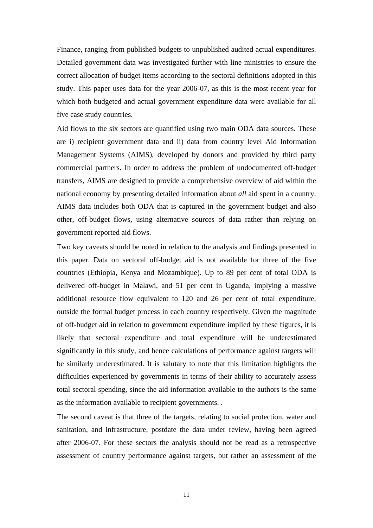Finance, ranging from published budgets to unpublished audited actual expenditures. Detailed government data was investigated further with line ministries to ensure the correct allocation of budget items according to the sectoral definitions adopted in this study. This paper uses data for the year 2006-07, as this is the most recent year for which both budgeted and actual government expenditure data were available for all five case study countries.

Aid flows to the six sectors are quantified using two main ODA data sources. These are i) recipient government data and ii) data from country level Aid Information Management Systems (AIMS), developed by donors and provided by third party commercial partners. In order to address the problem of undocumented off-budget transfers, AIMS are designed to provide a comprehensive overview of aid within the national economy by presenting detailed information about *all* aid spent in a country. AIMS data includes both ODA that is captured in the government budget and also other, off-budget flows, using alternative sources of data rather than relying on government reported aid flows.

Two key caveats should be noted in relation to the analysis and findings presented in this paper. Data on sectoral off-budget aid is not available for three of the five countries (Ethiopia, Kenya and Mozambique). Up to 89 per cent of total ODA is delivered off-budget in Malawi, and 51 per cent in Uganda, implying a massive additional resource flow equivalent to 120 and 26 per cent of total expenditure, outside the formal budget process in each country respectively. Given the magnitude of off-budget aid in relation to government expenditure implied by these figures, it is likely that sectoral expenditure and total expenditure will be underestimated significantly in this study, and hence calculations of performance against targets will be similarly underestimated. It is salutary to note that this limitation highlights the difficulties experienced by governments in terms of their ability to accurately assess total sectoral spending, since the aid information available to the authors is the same as the information available to recipient governments. .

The second caveat is that three of the targets, relating to social protection, water and sanitation, and infrastructure, postdate the data under review, having been agreed after 2006-07. For these sectors the analysis should not be read as a retrospective assessment of country performance against targets, but rather an assessment of the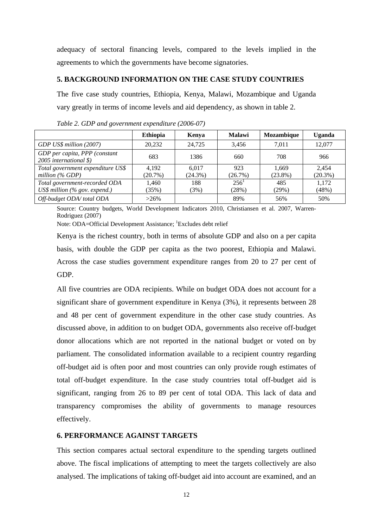adequacy of sectoral financing levels, compared to the levels implied in the agreements to which the governments have become signatories.

#### **5. BACKGROUND INFORMATION ON THE CASE STUDY COUNTRIES**

The five case study countries, Ethiopia, Kenya, Malawi, Mozambique and Uganda vary greatly in terms of income levels and aid dependency, as shown in table 2.

|                                                                          | <b>Ethiopia</b> | Kenya      | <b>Malawi</b> | Mozambique | <b>Uganda</b> |
|--------------------------------------------------------------------------|-----------------|------------|---------------|------------|---------------|
| GDP US\$ million (2007)                                                  | 20,232          | 24,725     | 3.456         | 7.011      | 12,077        |
| GDP per capita, PPP (constant<br>2005 international $\hat{\mathbf{x}}$ ) | 683             | 1386       | 660           | 708        | 966           |
| Total government expenditure US\$                                        | 4.192           | 6.017      | 923           | 1.669      | 2.454         |
| million $(\%$ GDP)                                                       | $(20.7\%)$      | $(24.3\%)$ | (26.7%)       | $(23.8\%)$ | $(20.3\%)$    |
| Total government-recorded ODA                                            | 1.460           | 188        | 256'          | 485        | 1,172         |
| $USS$ million (% gov. expend.)                                           | (35%)           | (3%)       | (28%)         | (29%)      | (48%)         |
| Off-budget ODA/total ODA                                                 | $>26\%$         |            | 89%           | 56%        | 50%           |

*Table 2. GDP and government expenditure (2006-07)* 

Source: Country budgets, World Development Indicators 2010, Christiansen et al. 2007, Warren-Rodriguez (2007)

Note: ODA=Official Development Assistance; <sup>1</sup>Excludes debt relief

Kenya is the richest country, both in terms of absolute GDP and also on a per capita basis, with double the GDP per capita as the two poorest, Ethiopia and Malawi. Across the case studies government expenditure ranges from 20 to 27 per cent of GDP.

All five countries are ODA recipients. While on budget ODA does not account for a significant share of government expenditure in Kenya (3%), it represents between 28 and 48 per cent of government expenditure in the other case study countries. As discussed above, in addition to on budget ODA, governments also receive off-budget donor allocations which are not reported in the national budget or voted on by parliament. The consolidated information available to a recipient country regarding off-budget aid is often poor and most countries can only provide rough estimates of total off-budget expenditure. In the case study countries total off-budget aid is significant, ranging from 26 to 89 per cent of total ODA. This lack of data and transparency compromises the ability of governments to manage resources effectively.

### **6. PERFORMANCE AGAINST TARGETS**

This section compares actual sectoral expenditure to the spending targets outlined above. The fiscal implications of attempting to meet the targets collectively are also analysed. The implications of taking off-budget aid into account are examined, and an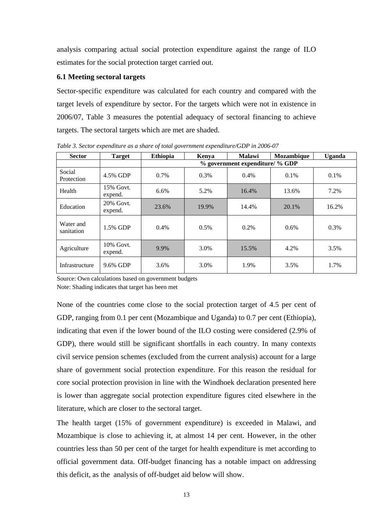analysis comparing actual social protection expenditure against the range of ILO estimates for the social protection target carried out.

#### **6.1 Meeting sectoral targets**

Sector-specific expenditure was calculated for each country and compared with the target levels of expenditure by sector. For the targets which were not in existence in 2006/07, Table 3 measures the potential adequacy of sectoral financing to achieve targets. The sectoral targets which are met are shaded.

| <b>Sector</b>           | <b>Target</b>        | <b>Ethiopia</b>                 | Kenya   | Malawi | Mozambique | Uganda |
|-------------------------|----------------------|---------------------------------|---------|--------|------------|--------|
|                         |                      | % government expenditure/ % GDP |         |        |            |        |
| Social<br>Protection    | 4.5% GDP             | 0.7%                            | $0.3\%$ | 0.4%   | 0.1%       | 0.1%   |
| Health                  | 15% Govt.<br>expend. | 6.6%                            | 5.2%    | 16.4%  | 13.6%      | 7.2%   |
| Education               | 20% Govt.<br>expend. | 23.6%                           | 19.9%   | 14.4%  | 20.1%      | 16.2%  |
| Water and<br>sanitation | 1.5% GDP             | 0.4%                            | 0.5%    | 0.2%   | 0.6%       | 0.3%   |
| Agriculture             | 10% Govt.<br>expend. | 9.9%                            | 3.0%    | 15.5%  | 4.2%       | 3.5%   |
| Infrastructure          | 9.6% GDP             | 3.6%                            | 3.0%    | 1.9%   | 3.5%       | 1.7%   |

*Table 3. Sector expenditure as a share of total government expenditure/GDP in 2006-07* 

Source: Own calculations based on government budgets

Note: Shading indicates that target has been met

None of the countries come close to the social protection target of 4.5 per cent of GDP, ranging from 0.1 per cent (Mozambique and Uganda) to 0.7 per cent (Ethiopia), indicating that even if the lower bound of the ILO costing were considered (2.9% of GDP), there would still be significant shortfalls in each country. In many contexts civil service pension schemes (excluded from the current analysis) account for a large share of government social protection expenditure. For this reason the residual for core social protection provision in line with the Windhoek declaration presented here is lower than aggregate social protection expenditure figures cited elsewhere in the literature, which are closer to the sectoral target.

The health target (15% of government expenditure) is exceeded in Malawi, and Mozambique is close to achieving it, at almost 14 per cent. However, in the other countries less than 50 per cent of the target for health expenditure is met according to official government data. Off-budget financing has a notable impact on addressing this deficit, as the analysis of off-budget aid below will show.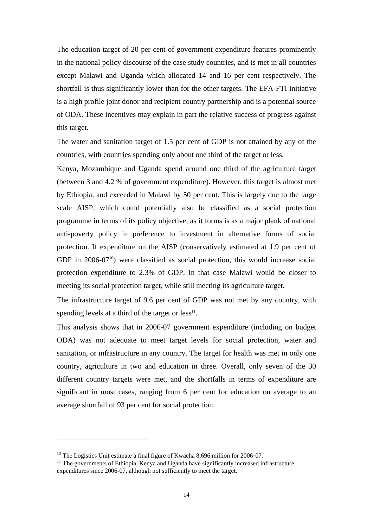The education target of 20 per cent of government expenditure features prominently in the national policy discourse of the case study countries, and is met in all countries except Malawi and Uganda which allocated 14 and 16 per cent respectively. The shortfall is thus significantly lower than for the other targets. The EFA-FTI initiative is a high profile joint donor and recipient country partnership and is a potential source of ODA. These incentives may explain in part the relative success of progress against this target.

The water and sanitation target of 1.5 per cent of GDP is not attained by any of the countries, with countries spending only about one third of the target or less.

Kenya, Mozambique and Uganda spend around one third of the agriculture target (between 3 and 4.2 % of government expenditure). However, this target is almost met by Ethiopia, and exceeded in Malawi by 50 per cent. This is largely due to the large scale AISP, which could potentially also be classified as a social protection programme in terms of its policy objective, as it forms is as a major plank of national anti-poverty policy in preference to investment in alternative forms of social protection. If expenditure on the AISP (conservatively estimated at 1.9 per cent of GDP in  $2006-07^{10}$ ) were classified as social protection, this would increase social protection expenditure to 2.3% of GDP. In that case Malawi would be closer to meeting its social protection target, while still meeting its agriculture target.

The infrastructure target of 9.6 per cent of GDP was not met by any country, with spending levels at a third of the target or  $less<sup>11</sup>$ .

This analysis shows that in 2006-07 government expenditure (including on budget ODA) was not adequate to meet target levels for social protection, water and sanitation, or infrastructure in any country. The target for health was met in only one country, agriculture in two and education in three. Overall, only seven of the 30 different country targets were met, and the shortfalls in terms of expenditure are significant in most cases, ranging from 6 per cent for education on average to an average shortfall of 93 per cent for social protection.

1

<sup>&</sup>lt;sup>10</sup> The Logistics Unit estimate a final figure of Kwacha 8,696 million for 2006-07.<br><sup>11</sup> The governments of Ethiopia, Kenya and Uganda have significantly increased infrastructure expenditures since 2006-07, although not sufficiently to meet the target.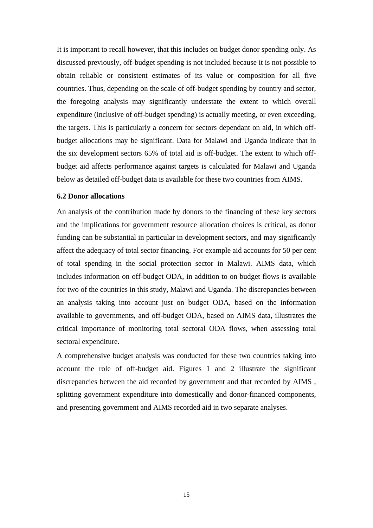It is important to recall however, that this includes on budget donor spending only. As discussed previously, off-budget spending is not included because it is not possible to obtain reliable or consistent estimates of its value or composition for all five countries. Thus, depending on the scale of off-budget spending by country and sector, the foregoing analysis may significantly understate the extent to which overall expenditure (inclusive of off-budget spending) is actually meeting, or even exceeding, the targets. This is particularly a concern for sectors dependant on aid, in which offbudget allocations may be significant. Data for Malawi and Uganda indicate that in the six development sectors 65% of total aid is off-budget. The extent to which offbudget aid affects performance against targets is calculated for Malawi and Uganda below as detailed off-budget data is available for these two countries from AIMS.

#### **6.2 Donor allocations**

An analysis of the contribution made by donors to the financing of these key sectors and the implications for government resource allocation choices is critical, as donor funding can be substantial in particular in development sectors, and may significantly affect the adequacy of total sector financing. For example aid accounts for 50 per cent of total spending in the social protection sector in Malawi. AIMS data, which includes information on off-budget ODA, in addition to on budget flows is available for two of the countries in this study, Malawi and Uganda. The discrepancies between an analysis taking into account just on budget ODA, based on the information available to governments, and off-budget ODA, based on AIMS data, illustrates the critical importance of monitoring total sectoral ODA flows, when assessing total sectoral expenditure.

A comprehensive budget analysis was conducted for these two countries taking into account the role of off-budget aid. Figures 1 and 2 illustrate the significant discrepancies between the aid recorded by government and that recorded by AIMS , splitting government expenditure into domestically and donor-financed components, and presenting government and AIMS recorded aid in two separate analyses.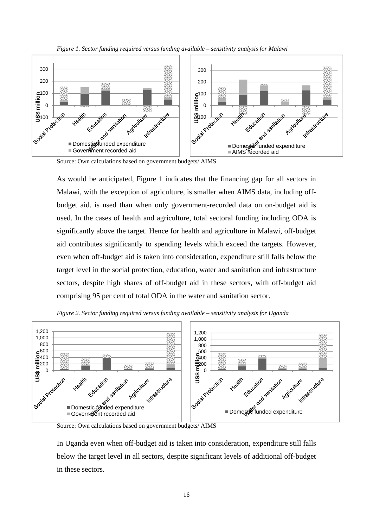



Source: Own calculations based on government budgets/ AIMS

As would be anticipated, Figure 1 indicates that the financing gap for all sectors in Malawi, with the exception of agriculture, is smaller when AIMS data, including offbudget aid. is used than when only government-recorded data on on-budget aid is used. In the cases of health and agriculture, total sectoral funding including ODA is significantly above the target. Hence for health and agriculture in Malawi, off-budget aid contributes significantly to spending levels which exceed the targets. However, even when off-budget aid is taken into consideration, expenditure still falls below the target level in the social protection, education, water and sanitation and infrastructure sectors, despite high shares of off-budget aid in these sectors, with off-budget aid comprising 95 per cent of total ODA in the water and sanitation sector.



*Figure 2. Sector funding required versus funding available – sensitivity analysis for Uganda* 

Source: Own calculations based on government budgets/ AIMS

In Uganda even when off-budget aid is taken into consideration, expenditure still falls below the target level in all sectors, despite significant levels of additional off-budget in these sectors.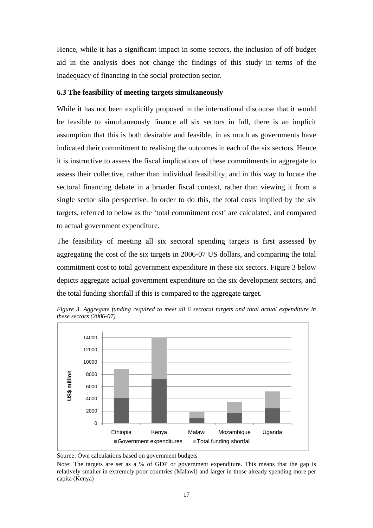Hence, while it has a significant impact in some sectors, the inclusion of off-budget aid in the analysis does not change the findings of this study in terms of the inadequacy of financing in the social protection sector.

#### **6.3 The feasibility of meeting targets simultaneously**

While it has not been explicitly proposed in the international discourse that it would be feasible to simultaneously finance all six sectors in full, there is an implicit assumption that this is both desirable and feasible, in as much as governments have indicated their commitment to realising the outcomes in each of the six sectors. Hence it is instructive to assess the fiscal implications of these commitments in aggregate to assess their collective, rather than individual feasibility, and in this way to locate the sectoral financing debate in a broader fiscal context, rather than viewing it from a single sector silo perspective. In order to do this, the total costs implied by the six targets, referred to below as the 'total commitment cost' are calculated, and compared to actual government expenditure.

The feasibility of meeting all six sectoral spending targets is first assessed by aggregating the cost of the six targets in 2006-07 US dollars, and comparing the total commitment cost to total government expenditure in these six sectors. Figure 3 below depicts aggregate actual government expenditure on the six development sectors, and the total funding shortfall if this is compared to the aggregate target.



*Figure 3. Aggregate funding required to meet all 6 sectoral targets and total actual expenditure in these sectors (2006-07)* 

Source: Own calculations based on government budgets

Note: The targets are set as a % of GDP or government expenditure. This means that the gap is relatively smaller in extremely poor countries (Malawi) and larger in those already spending more per capita (Kenya)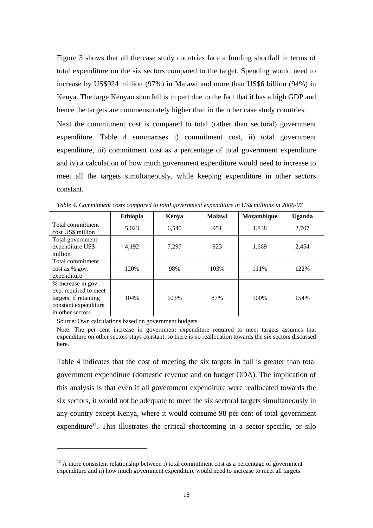Figure 3 shows that all the case study countries face a funding shortfall in terms of total expenditure on the six sectors compared to the target. Spending would need to increase by US\$924 million (97%) in Malawi and more than US\$6 billion (94%) in Kenya. The large Kenyan shortfall is in part due to the fact that it has a high GDP and hence the targets are commensurately higher than in the other case study countries.

Next the commitment cost is compared to total (rather than sectoral) government expenditure. Table 4 summarises i) commitment cost, ii) total government expenditure, iii) commitment cost as a percentage of total government expenditure and iv) a calculation of how much government expenditure would need to increase to meet all the targets simultaneously, while keeping expenditure in other sectors constant.

|                                                                                                                  | <b>Ethiopia</b> | Kenya | <b>Malawi</b> | Mozambique | <b>Uganda</b> |
|------------------------------------------------------------------------------------------------------------------|-----------------|-------|---------------|------------|---------------|
| Total commitment<br>cost US\$ million                                                                            | 5,023           | 6,540 | 951           | 1,838      | 2,707         |
| Total government<br>expenditure US\$<br>million                                                                  | 4,192           | 7,297 | 923           | 1,669      | 2,454         |
| Total commitment<br>cost as % gov.<br>expenditure                                                                | 120%            | 98%   | 103%          | 111%       | 122%          |
| % increase in gov.<br>exp. required to meet<br>targets, if retaining<br>constant expenditure<br>in other sectors | 104%            | 103%  | 87%           | 100%       | 154%          |

*Table 4. Commitment costs compared to total government expenditure in US\$ millions in 2006-07* 

Source: Own calculations based on government budgets

**.** 

Note: The per cent increase in government expenditure required to meet targets assumes that expenditure on other sectors stays constant, so there is no reallocation towards the six sectors discussed here.

Table 4 indicates that the cost of meeting the six targets in full is greater than total government expenditure (domestic revenue and on budget ODA). The implication of this analysis is that even if all government expenditure were reallocated towards the six sectors, it would not be adequate to meet the six sectoral targets simultaneously in any country except Kenya, where it would consume 98 per cent of total government expenditure<sup>12</sup>. This illustrates the critical shortcoming in a sector-specific, or silo

 $12$  A more consistent relationship between i) total commitment cost as a percentage of government expenditure and ii) how much government expenditure would need to increase to meet all targets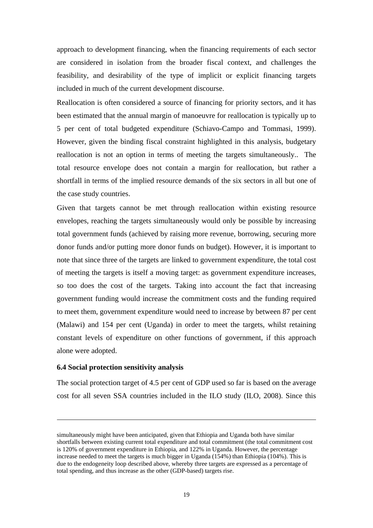approach to development financing, when the financing requirements of each sector are considered in isolation from the broader fiscal context, and challenges the feasibility, and desirability of the type of implicit or explicit financing targets included in much of the current development discourse.

Reallocation is often considered a source of financing for priority sectors, and it has been estimated that the annual margin of manoeuvre for reallocation is typically up to 5 per cent of total budgeted expenditure (Schiavo-Campo and Tommasi, 1999). However, given the binding fiscal constraint highlighted in this analysis, budgetary reallocation is not an option in terms of meeting the targets simultaneously.. The total resource envelope does not contain a margin for reallocation, but rather a shortfall in terms of the implied resource demands of the six sectors in all but one of the case study countries.

Given that targets cannot be met through reallocation within existing resource envelopes, reaching the targets simultaneously would only be possible by increasing total government funds (achieved by raising more revenue, borrowing, securing more donor funds and/or putting more donor funds on budget). However, it is important to note that since three of the targets are linked to government expenditure, the total cost of meeting the targets is itself a moving target: as government expenditure increases, so too does the cost of the targets. Taking into account the fact that increasing government funding would increase the commitment costs and the funding required to meet them, government expenditure would need to increase by between 87 per cent (Malawi) and 154 per cent (Uganda) in order to meet the targets, whilst retaining constant levels of expenditure on other functions of government, if this approach alone were adopted.

#### **6.4 Social protection sensitivity analysis**

1

The social protection target of 4.5 per cent of GDP used so far is based on the average cost for all seven SSA countries included in the ILO study (ILO, 2008). Since this

simultaneously might have been anticipated, given that Ethiopia and Uganda both have similar shortfalls between existing current total expenditure and total commitment (the total commitment cost is 120% of government expenditure in Ethiopia, and 122% in Uganda. However, the percentage increase needed to meet the targets is much bigger in Uganda (154%) than Ethiopia (104%). This is due to the endogeneity loop described above, whereby three targets are expressed as a percentage of total spending, and thus increase as the other (GDP-based) targets rise.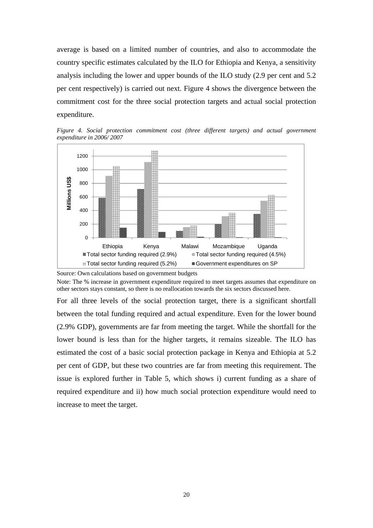average is based on a limited number of countries, and also to accommodate the country specific estimates calculated by the ILO for Ethiopia and Kenya, a sensitivity analysis including the lower and upper bounds of the ILO study (2.9 per cent and 5.2 per cent respectively) is carried out next. Figure 4 shows the divergence between the commitment cost for the three social protection targets and actual social protection expenditure.

*Figure 4. Social protection commitment cost (three different targets) and actual government expenditure in 2006/ 2007* 



Source: Own calculations based on government budgets

Note: The % increase in government expenditure required to meet targets assumes that expenditure on other sectors stays constant, so there is no reallocation towards the six sectors discussed here.

For all three levels of the social protection target, there is a significant shortfall between the total funding required and actual expenditure. Even for the lower bound (2.9% GDP), governments are far from meeting the target. While the shortfall for the lower bound is less than for the higher targets, it remains sizeable. The ILO has estimated the cost of a basic social protection package in Kenya and Ethiopia at 5.2 per cent of GDP, but these two countries are far from meeting this requirement. The issue is explored further in Table 5, which shows i) current funding as a share of required expenditure and ii) how much social protection expenditure would need to increase to meet the target.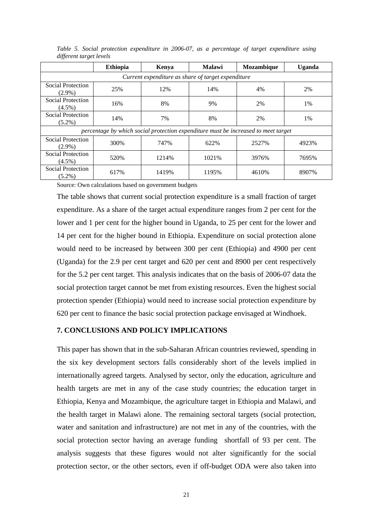|                                                                                    | <b>Ethiopia</b> | Kenya | <b>Malawi</b> | <b>Mozambique</b> | Uganda |  |  |
|------------------------------------------------------------------------------------|-----------------|-------|---------------|-------------------|--------|--|--|
| Current expenditure as share of target expenditure                                 |                 |       |               |                   |        |  |  |
| Social Protection<br>$(2.9\%)$                                                     | 25%             | 12%   | 14%           | 4%                | 2%     |  |  |
| Social Protection<br>$(4.5\%)$                                                     | 16%             | 8%    | 9%            | 2%                | 1%     |  |  |
| Social Protection<br>$(5.2\%)$                                                     | 14%             | 7%    | 8%            | 2%                | 1%     |  |  |
| percentage by which social protection expenditure must be increased to meet target |                 |       |               |                   |        |  |  |
| Social Protection<br>$(2.9\%)$                                                     | 300\%           | 747%  | 622%          | 2527%             | 4923%  |  |  |
| Social Protection<br>$(4.5\%)$                                                     | 520%            | 1214% | 1021%         | 3976%             | 7695%  |  |  |
| Social Protection<br>$(5.2\%)$                                                     | 617%            | 1419% | 1195%         | 4610%             | 8907%  |  |  |

*Table 5. Social protection expenditure in 2006-07, as a percentage of target expenditure using different target levels* 

Source: Own calculations based on government budgets

The table shows that current social protection expenditure is a small fraction of target expenditure. As a share of the target actual expenditure ranges from 2 per cent for the lower and 1 per cent for the higher bound in Uganda, to 25 per cent for the lower and 14 per cent for the higher bound in Ethiopia. Expenditure on social protection alone would need to be increased by between 300 per cent (Ethiopia) and 4900 per cent (Uganda) for the 2.9 per cent target and 620 per cent and 8900 per cent respectively for the 5.2 per cent target. This analysis indicates that on the basis of 2006-07 data the social protection target cannot be met from existing resources. Even the highest social protection spender (Ethiopia) would need to increase social protection expenditure by 620 per cent to finance the basic social protection package envisaged at Windhoek.

#### **7. CONCLUSIONS AND POLICY IMPLICATIONS**

This paper has shown that in the sub-Saharan African countries reviewed, spending in the six key development sectors falls considerably short of the levels implied in internationally agreed targets. Analysed by sector, only the education, agriculture and health targets are met in any of the case study countries; the education target in Ethiopia, Kenya and Mozambique, the agriculture target in Ethiopia and Malawi, and the health target in Malawi alone. The remaining sectoral targets (social protection, water and sanitation and infrastructure) are not met in any of the countries, with the social protection sector having an average funding shortfall of 93 per cent. The analysis suggests that these figures would not alter significantly for the social protection sector, or the other sectors, even if off-budget ODA were also taken into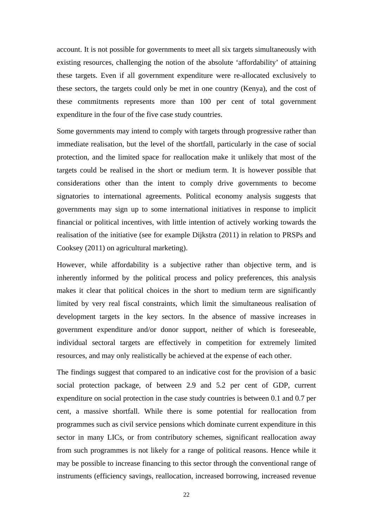account. It is not possible for governments to meet all six targets simultaneously with existing resources, challenging the notion of the absolute 'affordability' of attaining these targets. Even if all government expenditure were re-allocated exclusively to these sectors, the targets could only be met in one country (Kenya), and the cost of these commitments represents more than 100 per cent of total government expenditure in the four of the five case study countries.

Some governments may intend to comply with targets through progressive rather than immediate realisation, but the level of the shortfall, particularly in the case of social protection, and the limited space for reallocation make it unlikely that most of the targets could be realised in the short or medium term. It is however possible that considerations other than the intent to comply drive governments to become signatories to international agreements. Political economy analysis suggests that governments may sign up to some international initiatives in response to implicit financial or political incentives, with little intention of actively working towards the realisation of the initiative (see for example Dijkstra (2011) in relation to PRSPs and Cooksey (2011) on agricultural marketing).

However, while affordability is a subjective rather than objective term, and is inherently informed by the political process and policy preferences, this analysis makes it clear that political choices in the short to medium term are significantly limited by very real fiscal constraints, which limit the simultaneous realisation of development targets in the key sectors. In the absence of massive increases in government expenditure and/or donor support, neither of which is foreseeable, individual sectoral targets are effectively in competition for extremely limited resources, and may only realistically be achieved at the expense of each other.

The findings suggest that compared to an indicative cost for the provision of a basic social protection package, of between 2.9 and 5.2 per cent of GDP, current expenditure on social protection in the case study countries is between 0.1 and 0.7 per cent, a massive shortfall. While there is some potential for reallocation from programmes such as civil service pensions which dominate current expenditure in this sector in many LICs, or from contributory schemes, significant reallocation away from such programmes is not likely for a range of political reasons. Hence while it may be possible to increase financing to this sector through the conventional range of instruments (efficiency savings, reallocation, increased borrowing, increased revenue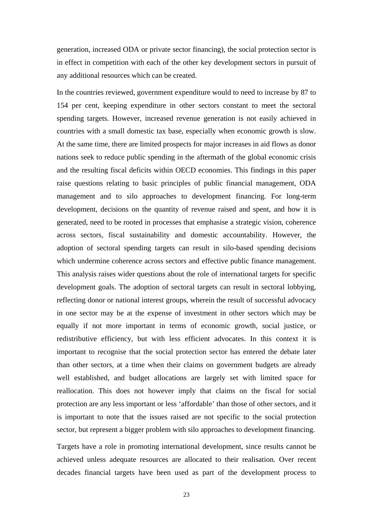generation, increased ODA or private sector financing), the social protection sector is in effect in competition with each of the other key development sectors in pursuit of any additional resources which can be created.

In the countries reviewed, government expenditure would to need to increase by 87 to 154 per cent, keeping expenditure in other sectors constant to meet the sectoral spending targets. However, increased revenue generation is not easily achieved in countries with a small domestic tax base, especially when economic growth is slow. At the same time, there are limited prospects for major increases in aid flows as donor nations seek to reduce public spending in the aftermath of the global economic crisis and the resulting fiscal deficits within OECD economies. This findings in this paper raise questions relating to basic principles of public financial management, ODA management and to silo approaches to development financing. For long-term development, decisions on the quantity of revenue raised and spent, and how it is generated, need to be rooted in processes that emphasise a strategic vision, coherence across sectors, fiscal sustainability and domestic accountability. However, the adoption of sectoral spending targets can result in silo-based spending decisions which undermine coherence across sectors and effective public finance management. This analysis raises wider questions about the role of international targets for specific development goals. The adoption of sectoral targets can result in sectoral lobbying, reflecting donor or national interest groups, wherein the result of successful advocacy in one sector may be at the expense of investment in other sectors which may be equally if not more important in terms of economic growth, social justice, or redistributive efficiency, but with less efficient advocates. In this context it is important to recognise that the social protection sector has entered the debate later than other sectors, at a time when their claims on government budgets are already well established, and budget allocations are largely set with limited space for reallocation. This does not however imply that claims on the fiscal for social protection are any less important or less 'affordable' than those of other sectors, and it is important to note that the issues raised are not specific to the social protection sector, but represent a bigger problem with silo approaches to development financing.

Targets have a role in promoting international development, since results cannot be achieved unless adequate resources are allocated to their realisation. Over recent decades financial targets have been used as part of the development process to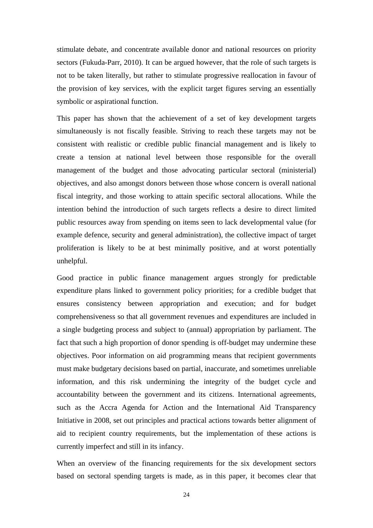stimulate debate, and concentrate available donor and national resources on priority sectors (Fukuda-Parr, 2010). It can be argued however, that the role of such targets is not to be taken literally, but rather to stimulate progressive reallocation in favour of the provision of key services, with the explicit target figures serving an essentially symbolic or aspirational function.

This paper has shown that the achievement of a set of key development targets simultaneously is not fiscally feasible. Striving to reach these targets may not be consistent with realistic or credible public financial management and is likely to create a tension at national level between those responsible for the overall management of the budget and those advocating particular sectoral (ministerial) objectives, and also amongst donors between those whose concern is overall national fiscal integrity, and those working to attain specific sectoral allocations. While the intention behind the introduction of such targets reflects a desire to direct limited public resources away from spending on items seen to lack developmental value (for example defence, security and general administration), the collective impact of target proliferation is likely to be at best minimally positive, and at worst potentially unhelpful.

Good practice in public finance management argues strongly for predictable expenditure plans linked to government policy priorities; for a credible budget that ensures consistency between appropriation and execution; and for budget comprehensiveness so that all government revenues and expenditures are included in a single budgeting process and subject to (annual) appropriation by parliament. The fact that such a high proportion of donor spending is off-budget may undermine these objectives. Poor information on aid programming means that recipient governments must make budgetary decisions based on partial, inaccurate, and sometimes unreliable information, and this risk undermining the integrity of the budget cycle and accountability between the government and its citizens. International agreements, such as the Accra Agenda for Action and the International Aid Transparency Initiative in 2008, set out principles and practical actions towards better alignment of aid to recipient country requirements, but the implementation of these actions is currently imperfect and still in its infancy.

When an overview of the financing requirements for the six development sectors based on sectoral spending targets is made, as in this paper, it becomes clear that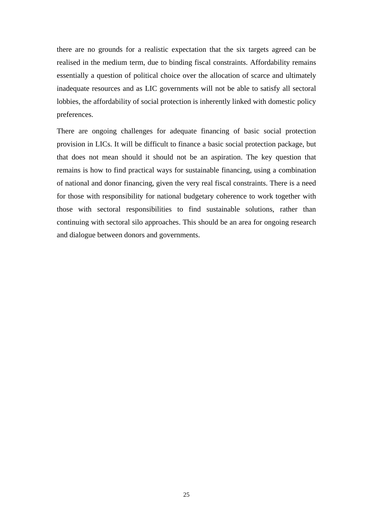there are no grounds for a realistic expectation that the six targets agreed can be realised in the medium term, due to binding fiscal constraints. Affordability remains essentially a question of political choice over the allocation of scarce and ultimately inadequate resources and as LIC governments will not be able to satisfy all sectoral lobbies, the affordability of social protection is inherently linked with domestic policy preferences.

There are ongoing challenges for adequate financing of basic social protection provision in LICs. It will be difficult to finance a basic social protection package, but that does not mean should it should not be an aspiration. The key question that remains is how to find practical ways for sustainable financing, using a combination of national and donor financing, given the very real fiscal constraints. There is a need for those with responsibility for national budgetary coherence to work together with those with sectoral responsibilities to find sustainable solutions, rather than continuing with sectoral silo approaches. This should be an area for ongoing research and dialogue between donors and governments.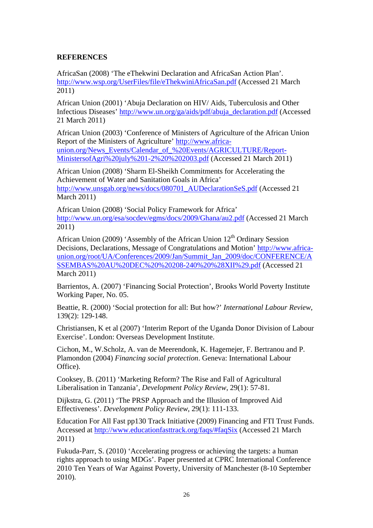## **REFERENCES**

AfricaSan (2008) 'The eThekwini Declaration and AfricaSan Action Plan'. http://www.wsp.org/UserFiles/file/eThekwiniAfricaSan.pdf (Accessed 21 March 2011)

African Union (2001) 'Abuja Declaration on HIV/ Aids, Tuberculosis and Other Infectious Diseases' http://www.un.org/ga/aids/pdf/abuja\_declaration.pdf (Accessed 21 March 2011)

African Union (2003) 'Conference of Ministers of Agriculture of the African Union Report of the Ministers of Agriculture' http://www.africaunion.org/News\_Events/Calendar\_of\_%20Events/AGRICULTURE/Report-MinistersofAgri%20july%201-2%20%202003.pdf (Accessed 21 March 2011)

African Union (2008) 'Sharm El-Sheikh Commitments for Accelerating the Achievement of Water and Sanitation Goals in Africa' http://www.unsgab.org/news/docs/080701\_AUDeclarationSeS.pdf (Accessed 21 March 2011)

African Union (2008) 'Social Policy Framework for Africa' http://www.un.org/esa/socdev/egms/docs/2009/Ghana/au2.pdf (Accessed 21 March 2011)

African Union (2009) 'Assembly of the African Union  $12<sup>th</sup>$  Ordinary Session Decisions, Declarations, Message of Congratulations and Motion' http://www.africaunion.org/root/UA/Conferences/2009/Jan/Summit\_Jan\_2009/doc/CONFERENCE/A SSEMBAS%20AU%20DEC%20%20208-240%20%28XII%29.pdf (Accessed 21 March 2011)

Barrientos, A. (2007) 'Financing Social Protection', Brooks World Poverty Institute Working Paper, No. 05.

Beattie, R. (2000) 'Social protection for all: But how?' *International Labour Review*, 139(2): 129-148.

Christiansen, K et al (2007) 'Interim Report of the Uganda Donor Division of Labour Exercise'. London: Overseas Development Institute.

Cichon, M., W.Scholz, A. van de Meerendonk, K. Hagemejer, F. Bertranou and P. Plamondon (2004) *Financing social protection*. Geneva: International Labour Office).

Cooksey, B. (2011) 'Marketing Reform? The Rise and Fall of Agricultural Liberalisation in Tanzania', *Development Policy Review*, 29(1): 57-81.

Dijkstra, G. (2011) 'The PRSP Approach and the Illusion of Improved Aid Effectiveness'. *Development Policy Review*, 29(1): 111-133.

Education For All Fast pp130 Track Initiative (2009) Financing and FTI Trust Funds. Accessed at http://www.educationfasttrack.org/faqs/#faqSix (Accessed 21 March 2011)

Fukuda-Parr, S. (2010) 'Accelerating progress or achieving the targets: a human rights approach to using MDGs'. Paper presented at CPRC International Conference 2010 Ten Years of War Against Poverty, University of Manchester (8-10 September 2010)*.*